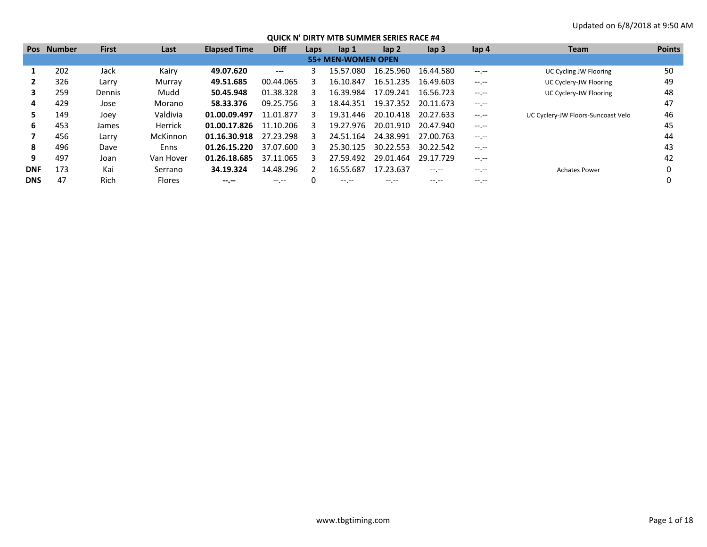| <b>Pos</b> | <b>Number</b> | <b>First</b>  | Last          | <b>Elapsed Time</b> | <b>Diff</b> | Laps | lap <sub>1</sub>   | lap 2     | lap <sub>3</sub> | lap 4                  | <b>Team</b>                        | <b>Points</b> |
|------------|---------------|---------------|---------------|---------------------|-------------|------|--------------------|-----------|------------------|------------------------|------------------------------------|---------------|
|            |               |               |               |                     |             |      | 55+ MEN-WOMEN OPEN |           |                  |                        |                                    |               |
|            | 202           | Jack          | Kairy         | 49.07.620           | $--$        |      | 15.57.080          | 16.25.960 | 16.44.580        | $-1$ .                 | UC Cycling JW Flooring             | 50            |
|            | 326           | Larry         | Murray        | 49.51.685           | 00.44.065   |      | 16.10.847          | 16.51.235 | 16.49.603        | $-1$ .                 | UC Cyclery-JW Flooring             | 49            |
| 3.         | 259           | <b>Dennis</b> | Mudd          | 50.45.948           | 01.38.328   |      | 16.39.984          | 17.09.241 | 16.56.723        | $-1$ , $-1$            | UC Cyclery-JW Flooring             | 48            |
| 4          | 429           | Jose          | Morano        | 58.33.376           | 09.25.756   |      | 18.44.351          | 19.37.352 | 20.11.673        | $-1$ .                 |                                    | 47            |
| 5.         | 149           | Joev          | Valdivia      | 01.00.09.497        | 11.01.877   |      | 19.31.446          | 20.10.418 | 20.27.633        | $-1 - 1 - 1 = 0$       | UC Cyclery-JW Floors-Suncoast Velo | 46            |
| 6.         | 453           | James         | Herrick       | 01.00.17.826        | 11.10.206   |      | 19.27.976          | 20.01.910 | 20.47.940        | $-1 - 1 - 1 = 0$       |                                    | 45            |
|            | 456           | Larry         | McKinnon      | 01.16.30.918        | 27.23.298   |      | 24.51.164          | 24.38.991 | 27.00.763        | $-1 - 1 - 1 = 0$       |                                    | 44            |
| 8          | 496           | Dave          | Enns          | 01.26.15.220        | 37.07.600   |      | 25.30.125          | 30.22.553 | 30.22.542        | $-1 - 1 - 1 = 0$       |                                    | 43            |
| 9          | 497           | Joan          | Van Hover     | 01.26.18.685        | 37.11.065   |      | 27.59.492          | 29.01.464 | 29.17.729        | $--- - - -$<br>$\cdot$ |                                    | 42            |
| <b>DNF</b> | 173           | Kai           | Serrano       | 34.19.324           | 14.48.296   |      | 16.55.687          | 17.23.637 |                  | $---$                  | <b>Achates Power</b>               |               |
| <b>DNS</b> | 47            | Rich          | <b>Flores</b> | $- - - - -$         | -- --       |      | -- --              | -- --     | -- --            | $---$                  |                                    |               |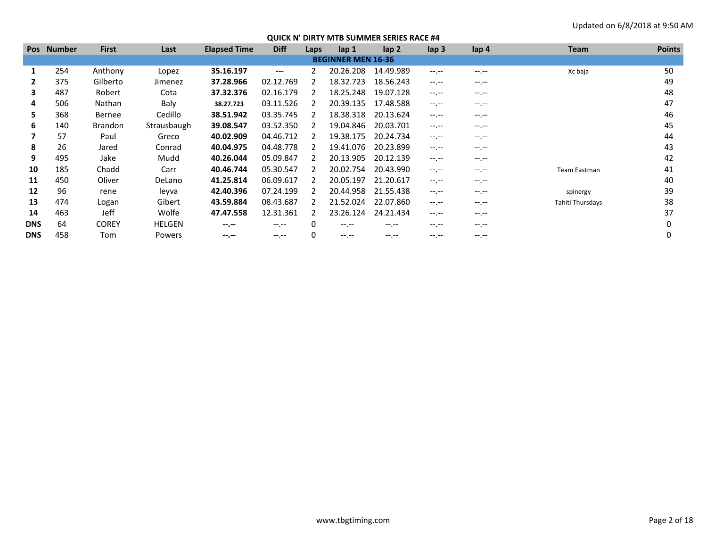|              | Pos Number | <b>First</b>   | Last          | <b>Elapsed Time</b> | <b>Diff</b> | Laps | lap <sub>1</sub>          | lap <sub>2</sub> | lap <sub>3</sub> | lap 4            | <b>Team</b>      | <b>Points</b> |
|--------------|------------|----------------|---------------|---------------------|-------------|------|---------------------------|------------------|------------------|------------------|------------------|---------------|
|              |            |                |               |                     |             |      | <b>BEGINNER MEN 16-36</b> |                  |                  |                  |                  |               |
|              | 254        | Anthony        | Lopez         | 35.16.197           | ---         |      | 20.26.208                 | 14.49.989        | $-1$ , $-1$      | $- - - - -$      | Xc baja          | 50            |
| $\mathbf{2}$ | 375        | Gilberto       | Jimenez       | 37.28.966           | 02.12.769   |      | 18.32.723                 | 18.56.243        | $-1$ .           | $-1$ .           |                  | 49            |
| 3            | 487        | Robert         | Cota          | 37.32.376           | 02.16.179   |      | 18.25.248                 | 19.07.128        | $-1. -1$         | $-1 - 1 - 1 = 0$ |                  | 48            |
| 4            | 506        | Nathan         | Baly          | 38.27.723           | 03.11.526   |      | 20.39.135                 | 17.48.588        | $-1$ , $-1$      | $-1.1 - 1.0$     |                  | 47            |
| 5.           | 368        | <b>Bernee</b>  | Cedillo       | 38.51.942           | 03.35.745   |      | 18.38.318                 | 20.13.624        | $-1. -1$         | $-1. - -$        |                  | 46            |
| 6            | 140        | <b>Brandon</b> | Strausbaugh   | 39.08.547           | 03.52.350   |      | 19.04.846                 | 20.03.701        | $-1$ , $-1$      | $-1$ , $-1$      |                  | 45            |
|              | 57         | Paul           | Greco         | 40.02.909           | 04.46.712   |      | 19.38.175                 | 20.24.734        | $-1$ , $-1$      | $-1. - -$        |                  | 44            |
| 8            | 26         | Jared          | Conrad        | 40.04.975           | 04.48.778   |      | 19.41.076                 | 20.23.899        | $-1$ , $-1$      | $-1$ , $-1$      |                  | 43            |
| 9            | 495        | Jake           | Mudd          | 40.26.044           | 05.09.847   |      | 20.13.905                 | 20.12.139        | $-1$ , $-1$      | $-1$ , $-1$      |                  | 42            |
| 10           | 185        | Chadd          | Carr          | 40.46.744           | 05.30.547   |      | 20.02.754                 | 20.43.990        | $-1$ , $-1$      | $-1. - -$        | Team Eastman     | 41            |
| 11           | 450        | Oliver         | DeLano        | 41.25.814           | 06.09.617   |      | 20.05.197                 | 21.20.617        | $-1$ , $-1$      | $-1 - 1 - 1 = 0$ |                  | 40            |
| 12           | 96         | rene           | leyva         | 42.40.396           | 07.24.199   |      | 20.44.958                 | 21.55.438        | $-1$ , $-1$      | $-1 - 1 - 1 = 0$ | spinergy         | 39            |
| 13           | 474        | Logan          | Gibert        | 43.59.884           | 08.43.687   |      | 21.52.024                 | 22.07.860        | $-1. -1$         | $-1. -1$         | Tahiti Thursdays | 38            |
| 14           | 463        | Jeff           | Wolfe         | 47.47.558           | 12.31.361   |      | 23.26.124                 | 24.21.434        | $-1 - 1 - 1 = 0$ | $-1$ , $-1$      |                  | 37            |
| <b>DNS</b>   | 64         | COREY          | <b>HELGEN</b> | $-1 - 1 - 1 = 0$    | $-1$ , $-1$ | 0    | $-1.1 -$                  | $-1.1$           | $-1. - -$        | $-1.1$           |                  | 0             |
| <b>DNS</b>   | 458        | Tom            | Powers        | --.--               | $-1. - -$   |      | $-1$ , $-1$               | $- - - - -$      | $-1 - 1 - 1 = 0$ | $- - - - -$      |                  | 0             |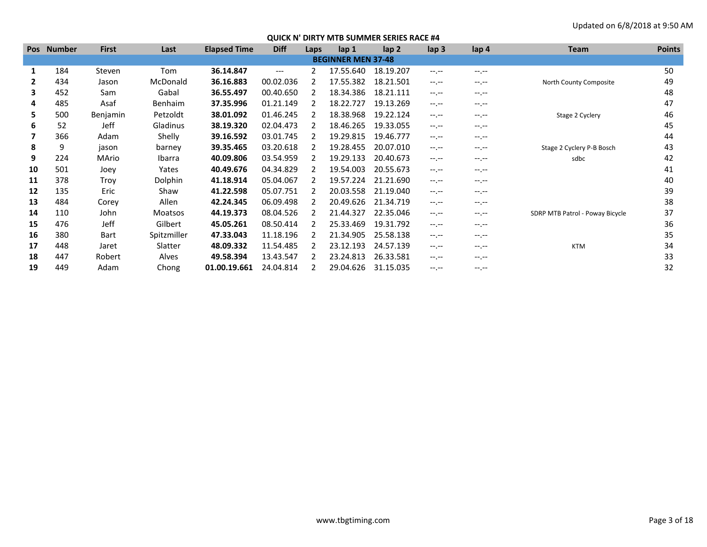|              | Pos Number | <b>First</b> | Last            | <b>Elapsed Time</b> | <b>Diff</b> | Laps | lap 1                     | lap <sub>2</sub> | lap <sub>3</sub> | lap 4            | <b>Team</b>                     | <b>Points</b> |
|--------------|------------|--------------|-----------------|---------------------|-------------|------|---------------------------|------------------|------------------|------------------|---------------------------------|---------------|
|              |            |              |                 |                     |             |      | <b>BEGINNER MEN 37-48</b> |                  |                  |                  |                                 |               |
| 1            | 184        | Steven       | Tom             | 36.14.847           | $---$       | 2    | 17.55.640                 | 18.19.207        | $-1$ , $-1$      | $-1$ .           |                                 | 50            |
| $\mathbf{2}$ | 434        | Jason        | <b>McDonald</b> | 36.16.883           | 00.02.036   |      | 17.55.382                 | 18.21.501        | $-1$ , $-1$      | $-1.1$           | North County Composite          | 49            |
| 3            | 452        | Sam          | Gabal           | 36.55.497           | 00.40.650   |      | 18.34.386                 | 18.21.111        | $-1$ , $-1$      | $-1$ .           |                                 | 48            |
| 4            | 485        | Asaf         | Benhaim         | 37.35.996           | 01.21.149   |      | 18.22.727                 | 19.13.269        | $-1$ , $-1$      | $-1$ .           |                                 | 47            |
| 5.           | 500        | Benjamin     | Petzoldt        | 38.01.092           | 01.46.245   |      | 18.38.968                 | 19.22.124        | $-1$ , $-1$      | $-1$ .           | Stage 2 Cyclery                 | 46            |
| 6            | 52         | Jeff         | Gladinus        | 38.19.320           | 02.04.473   |      | 18.46.265                 | 19.33.055        | $-1$ , $-1$      | $-1.1$           |                                 | 45            |
| 7            | 366        | Adam         | Shelly          | 39.16.592           | 03.01.745   |      | 19.29.815                 | 19.46.777        | $-1 - 1 - 1 = 0$ | $-1. - -$        |                                 | 44            |
| 8            | 9          | jason        | barney          | 39.35.465           | 03.20.618   |      | 19.28.455                 | 20.07.010        | $-1 - 1 - 1 = 0$ | $-1.1$           | Stage 2 Cyclery P-B Bosch       | 43            |
| 9            | 224        | <b>MArio</b> | Ibarra          | 40.09.806           | 03.54.959   | 2    | 19.29.133                 | 20.40.673        | $-1$ , $-1$      | $-1 - 1 - 1 = 0$ | sdbc                            | 42            |
| 10           | 501        | Joey         | Yates           | 40.49.676           | 04.34.829   |      | 19.54.003                 | 20.55.673        | $-1$ , $-1$      | $-1.1$           |                                 | 41            |
| 11           | 378        | Troy         | Dolphin         | 41.18.914           | 05.04.067   |      | 19.57.224                 | 21.21.690        | $-1$ , $-1$      | $-1$ .           |                                 | 40            |
| 12           | 135        | Eric         | Shaw            | 41.22.598           | 05.07.751   |      | 20.03.558                 | 21.19.040        | $-1$ , $-1$      | $-1.1$           |                                 | 39            |
| 13           | 484        | Corey        | Allen           | 42.24.345           | 06.09.498   |      | 20.49.626                 | 21.34.719        | $-1$ , $-1$      | $-1.1$           |                                 | 38            |
| 14           | 110        | John         | <b>Moatsos</b>  | 44.19.373           | 08.04.526   |      | 21.44.327                 | 22.35.046        | $-1$ , $-1$      | $-1$ .           | SDRP MTB Patrol - Poway Bicycle | 37            |
| 15           | 476        | Jeff         | Gilbert         | 45.05.261           | 08.50.414   |      | 25.33.469                 | 19.31.792        | $-1$ , $-1$      | $-1.1$           |                                 | 36            |
| 16           | 380        | Bart         | Spitzmiller     | 47.33.043           | 11.18.196   |      | 21.34.905                 | 25.58.138        | $-1$ , $-1$      | $-1$ .           |                                 | 35            |
| 17           | 448        | Jaret        | Slatter         | 48.09.332           | 11.54.485   |      | 23.12.193                 | 24.57.139        | $-1 - 1 - 1 = 0$ | $- - - - -$      | <b>KTM</b>                      | 34            |
| 18           | 447        | Robert       | Alves           | 49.58.394           | 13.43.547   |      | 23.24.813                 | 26.33.581        | $-1 - 1 - 1 = 0$ | $-1$ .           |                                 | 33            |
| 19           | 449        | Adam         | Chong           | 01.00.19.661        | 24.04.814   |      | 29.04.626                 | 31.15.035        | $-1 - 1 - 1 = 0$ | $-1.1$           |                                 | 32            |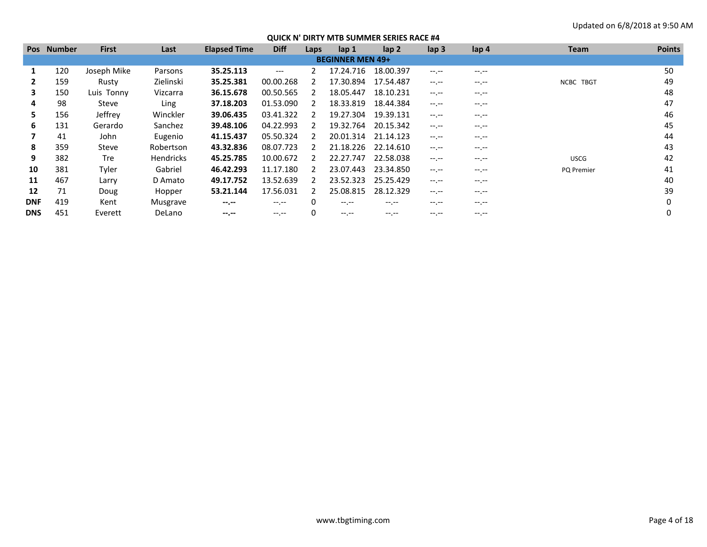|            | Pos Number | <b>First</b> | Last             | <b>Elapsed Time</b> | <b>Diff</b> | Laps          | $\mathsf{lap} 1$        | $\mathsf{lap} 2$ | lap <sub>3</sub> | lap <sub>4</sub> | <b>Team</b> | <b>Points</b> |
|------------|------------|--------------|------------------|---------------------|-------------|---------------|-------------------------|------------------|------------------|------------------|-------------|---------------|
|            |            |              |                  |                     |             |               | <b>BEGINNER MEN 49+</b> |                  |                  |                  |             |               |
| 1          | 120        | Joseph Mike  | Parsons          | 35.25.113           | $---$       | $\mathcal{P}$ | 17.24.716               | 18.00.397        | $-1 - 1 - 1 = 0$ | $-1$ .           |             | 50            |
|            | 159        | Rusty        | Zielinski        | 35.25.381           | 00.00.268   |               | 17.30.894               | 17.54.487        | $-1$ .           | $-1. - -$        | NCBC TBGT   | 49            |
| 3          | 150        | Luis Tonny   | Vizcarra         | 36.15.678           | 00.50.565   |               | 18.05.447               | 18.10.231        | $-1$ , $-1$      | $-1. - -$        |             | 48            |
| 4          | 98         | Steve        | Ling             | 37.18.203           | 01.53.090   |               | 18.33.819               | 18.44.384        | $-1 - 1 - 1 = 0$ | $-1. - -$        |             | 47            |
| 5.         | 156        | Jeffrey      | Winckler         | 39.06.435           | 03.41.322   |               | 19.27.304               | 19.39.131        | $-1$ .           | $-1. - -$        |             | 46            |
| 6          | 131        | Gerardo      | Sanchez          | 39.48.106           | 04.22.993   |               | 19.32.764               | 20.15.342        | $-1$ .           | $-1. - -$        |             | 45            |
|            | 41         | John         | Eugenio          | 41.15.437           | 05.50.324   |               | 20.01.314               | 21.14.123        | $-1 - 1 - 1 = 0$ | $-1. - -$        |             | 44            |
| 8          | 359        | Steve        | Robertson        | 43.32.836           | 08.07.723   |               | 21.18.226               | 22.14.610        | $-1$ , $-1$      | $-1. - -$        |             | 43            |
| 9          | 382        | <b>Tre</b>   | <b>Hendricks</b> | 45.25.785           | 10.00.672   |               | 22.27.747               | 22.58.038        | $-1$ .           | $-1. - -$        | <b>USCG</b> | 42            |
| 10         | 381        | Tyler        | Gabriel          | 46.42.293           | 11.17.180   |               | 23.07.443               | 23.34.850        | $-1.1$           | $-1. - -$        | PQ Premier  | 41            |
| 11         | 467        | Larry        | D Amato          | 49.17.752           | 13.52.639   |               | 23.52.323               | 25.25.429        | $-1$ , $-1$      | $-1$ , $-1$      |             | 40            |
| 12         | 71         | Doug         | Hopper           | 53.21.144           | 17.56.031   |               | 25.08.815               | 28.12.329        | $-1 - 1 - 1 = 0$ | $-1$ , $-1$      |             | 39            |
| <b>DNF</b> | 419        | Kent         | Musgrave         | $-1$                | $-1$ , $-1$ | 0             |                         | -- --            |                  | $-1$ , $-1$      |             |               |
| <b>DNS</b> | 451        | Everett      | DeLano           | $-1$ .              | -- --       | 0             |                         | $---$            | -- --            | $--- - - -$      |             |               |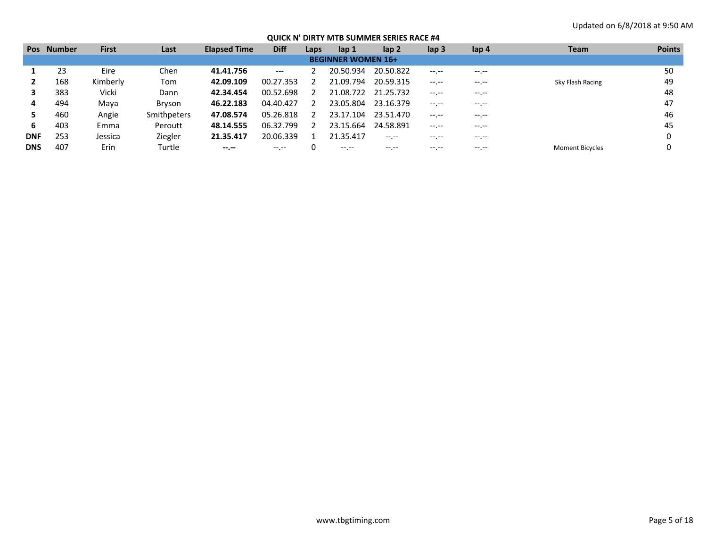|            | <b>Pos Number</b> | <b>First</b> | Last          | <b>Elapsed Time</b> | <b>Diff</b> | Laps | lap 1                     | lap <sub>2</sub> | lap 3            | lap 4            | Team                   | <b>Points</b> |
|------------|-------------------|--------------|---------------|---------------------|-------------|------|---------------------------|------------------|------------------|------------------|------------------------|---------------|
|            |                   |              |               |                     |             |      | <b>BEGINNER WOMEN 16+</b> |                  |                  |                  |                        |               |
|            | 23                | Eire         | Chen          | 41.41.756           | $---$       |      | 20.50.934                 | 20.50.822        | --.--            | $-1$ . $-1$      |                        | 50            |
|            | 168               | Kimberly     | Tom           | 42.09.109           | 00.27.353   |      | 21.09.794                 | 20.59.315        | --.--            | $- - - - -$      | Sky Flash Racing       | 49            |
|            | 383               | Vicki        | Dann          | 42.34.454           | 00.52.698   |      | 21.08.722                 | 21.25.732        | $-1$ , $-1$      |                  |                        | 48            |
| 4          | 494               | Maya         | <b>Bryson</b> | 46.22.183           | 04.40.427   |      | 23.05.804                 | 23.16.379        | $-1 - 1 - 1 = 0$ | $-1 - 1 - 1 = 0$ |                        | 47            |
|            | 460               | Angie        | Smithpeters   | 47.08.574           | 05.26.818   |      | 23.17.104                 | 23.51.470        | $-1$ , $-1$      | $-1 - 1 - 1 = 0$ |                        | 46            |
| 6.         | 403               | Emma         | Peroutt       | 48.14.555           | 06.32.799   |      | 23.15.664                 | 24.58.891        |                  | - -              |                        | 45            |
| <b>DNF</b> | 253               | Jessica      | Ziegler       | 21.35.417           | 20.06.339   |      | 21.35.417                 | $---$<br>. .     | $---$<br>$\cdot$ | $---$<br>- -     |                        |               |
| <b>DNS</b> | 407               | Erin         | Turtle        | --.--               |             |      |                           | $---$            | $---$            | $---$            | <b>Moment Bicycles</b> |               |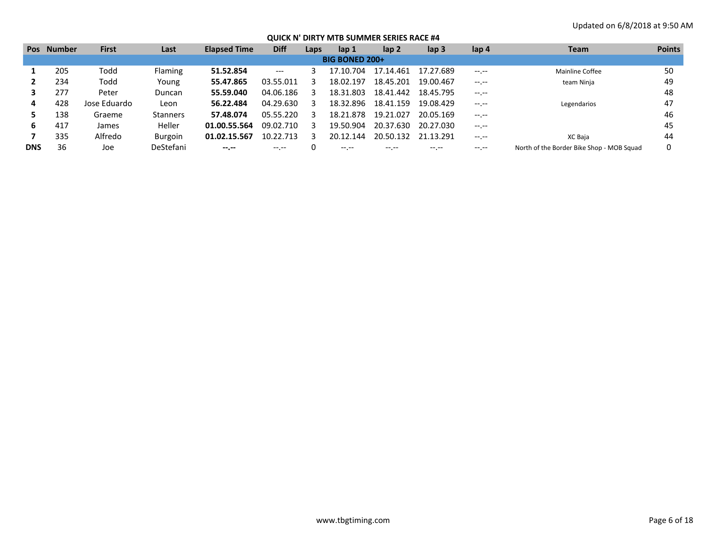| Pos        | <b>Number</b> | <b>First</b> | Last            | <b>Elapsed Time</b> | <b>Diff</b> | Laps | lap 1                 | lap 2     | lap <sub>3</sub> | lap 4            | <b>Team</b>                               | <b>Points</b> |
|------------|---------------|--------------|-----------------|---------------------|-------------|------|-----------------------|-----------|------------------|------------------|-------------------------------------------|---------------|
|            |               |              |                 |                     |             |      | <b>BIG BONED 200+</b> |           |                  |                  |                                           |               |
|            | 205           | Todd         | <b>Flaming</b>  | 51.52.854           | $---$       |      | 17.10.704             | 17.14.461 | 17.27.689        | $-1. -1$         | <b>Mainline Coffee</b>                    | 50            |
|            | 234           | Todd         | Young           | 55.47.865           | 03.55.011   |      | 18.02.197             | 18.45.201 | 19.00.467        | $-1. -1$         | team Ninja                                | 49            |
|            | 277           | Peter        | Duncan          | 55.59.040           | 04.06.186   |      | 18.31.803             | 18.41.442 | 18.45.795        | $-1 - 1 - 1 = 0$ |                                           | 48            |
| 4          | 428           | Jose Eduardo | Leon            | 56.22.484           | 04.29.630   |      | 18.32.896             | 18.41.159 | 19.08.429        | $-1 - 1 - 1 = 0$ | Legendarios                               | 47            |
|            | 138           | Graeme       | <b>Stanners</b> | 57.48.074           | 05.55.220   |      | 18.21.878             | 19.21.027 | 20.05.169        | $-1$ , $-1$      |                                           | 46            |
| 6.         | 417           | James        | Heller          | 01.00.55.564        | 09.02.710   |      | 19.50.904             | 20.37.630 | 20.27.030        | $-1$ .           |                                           | 45            |
|            | 335           | Alfredo      | Burgoin         | 01.02.15.567        | 10.22.713   |      | 20.12.144             | 20.50.132 | 21.13.291        | $-1$ .           | XC Baja                                   | 44            |
| <b>DNS</b> | 36            | Joe          | DeStefani       | --.--               |             |      | $---$                 | -- --     | $---$            | $-1. -1$         | North of the Border Bike Shop - MOB Squad |               |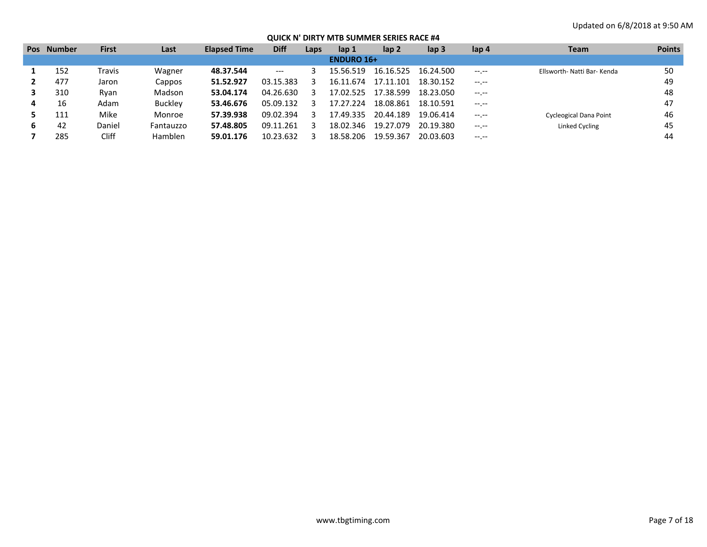| <b>Pos</b> | <b>Number</b> | <b>First</b> | Last           | <b>Elapsed Time</b> | <b>Diff</b> | Laps | lap 1             | lap <sub>2</sub> | lap <sub>3</sub> | lap 4            | <b>Team</b>                   | <b>Points</b> |
|------------|---------------|--------------|----------------|---------------------|-------------|------|-------------------|------------------|------------------|------------------|-------------------------------|---------------|
|            |               |              |                |                     |             |      | <b>ENDURO 16+</b> |                  |                  |                  |                               |               |
|            | 152           | Fravis       | Wagner         | 48.37.544           | $---$       |      | 15.56.519         | 16.16.525        | 16.24.500        | $-1$ , $-1$      | Ellsworth- Natti Bar- Kenda   | 50            |
|            | 477           | Jaron        | Cappos         | 51.52.927           | 03.15.383   |      | 16.11.674         | 17.11.101        | 18.30.152        | $-1. - -$        |                               | 49            |
|            | 310           | Rvan         | Madson         | 53.04.174           | 04.26.630   |      | 17.02.525         | 17.38.599        | 18.23.050        | $-1 - 1 - 1 = 0$ |                               | 48            |
|            | 16            | Adam         | <b>Buckley</b> | 53.46.676           | 05.09.132   |      | 17.27.224         | 18.08.861        | 18.10.591        | $-1 - 1 - 1 = 0$ |                               | 47            |
|            | 111           | Mike         | Monroe         | 57.39.938           | 09.02.394   |      | 17.49.335         | 20.44.189        | 19.06.414        | $-1$ , $-1$      | <b>Cycleogical Dana Point</b> | 46            |
| ь          | 42            | Daniel       | Fantauzzo      | 57.48.805           | 09.11.261   |      | 18.02.346         | 19.27.079        | 20.19.380        | $-1$ , $-1$      | Linked Cycling                | 45            |
|            | 285           | Cliff        | Hamblen        | 59.01.176           | 10.23.632   |      | 18.58.206         | 19.59.367        | 20.03.603        | $-1 - 1 - 1 = 0$ |                               | 44            |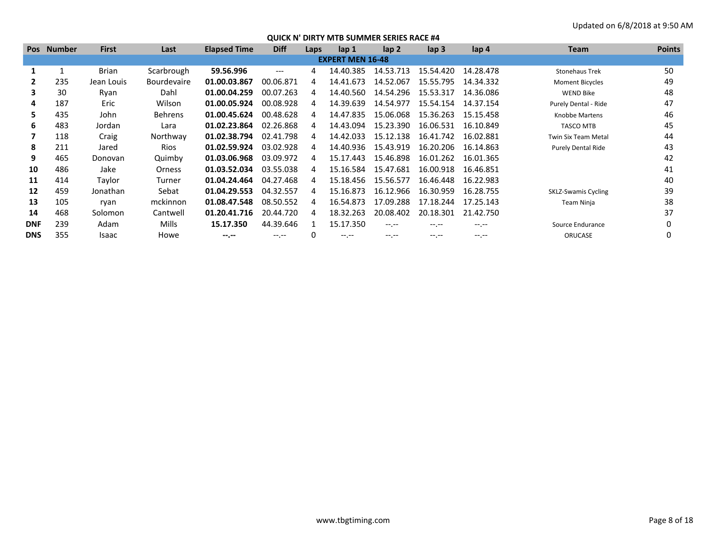| <b>Pos</b> | <b>Number</b> | <b>First</b> | Last               | <b>Elapsed Time</b> | <b>Diff</b> | Laps | lap <sub>1</sub>        | $\mathsf{lap} 2$ | lap <sub>3</sub> | lap <sub>4</sub> | <b>Team</b>                | <b>Points</b> |
|------------|---------------|--------------|--------------------|---------------------|-------------|------|-------------------------|------------------|------------------|------------------|----------------------------|---------------|
|            |               |              |                    |                     |             |      | <b>EXPERT MEN 16-48</b> |                  |                  |                  |                            |               |
|            |               | <b>Brian</b> | Scarbrough         | 59.56.996           | ---         | 4    | 14.40.385               | 14.53.713        | 15.54.420        | 14.28.478        | <b>Stonehaus Trek</b>      | 50            |
|            | 235           | Jean Louis   | <b>Bourdevaire</b> | 01.00.03.867        | 00.06.871   | 4    | 14.41.673               | 14.52.067        | 15.55.795        | 14.34.332        | <b>Moment Bicycles</b>     | 49            |
|            | 30            | Ryan         | Dahl               | 01.00.04.259        | 00.07.263   | 4    | 14.40.560               | 14.54.296        | 15.53.317        | 14.36.086        | <b>WEND Bike</b>           | 48            |
| 4          | 187           | Eric         | Wilson             | 01.00.05.924        | 00.08.928   | 4    | 14.39.639               | 14.54.977        | 15.54.154        | 14.37.154        | Purely Dental - Ride       | 47            |
| 5          | 435           | John         | <b>Behrens</b>     | 01.00.45.624        | 00.48.628   | 4    | 14.47.835               | 15.06.068        | 15.36.263        | 15.15.458        | Knobbe Martens             | 46            |
| 6          | 483           | Jordan       | Lara               | 01.02.23.864        | 02.26.868   | 4    | 14.43.094               | 15.23.390        | 16.06.531        | 16.10.849        | <b>TASCO MTB</b>           | 45            |
|            | 118           | Craig        | Northway           | 01.02.38.794        | 02.41.798   | 4    | 14.42.033               | 15.12.138        | 16.41.742        | 16.02.881        | <b>Twin Six Team Metal</b> | 44            |
| 8          | 211           | Jared        | Rios               | 01.02.59.924        | 03.02.928   | 4    | 14.40.936               | 15.43.919        | 16.20.206        | 16.14.863        | <b>Purely Dental Ride</b>  | 43            |
| 9          | 465           | Donovan      | Quimby             | 01.03.06.968        | 03.09.972   | 4    | 15.17.443               | 15.46.898        | 16.01.262        | 16.01.365        |                            | 42            |
| 10         | 486           | Jake         | Orness             | 01.03.52.034        | 03.55.038   | 4    | 15.16.584               | 15.47.681        | 16.00.918        | 16.46.851        |                            | 41            |
| 11         | 414           | Taylor       | Turner             | 01.04.24.464        | 04.27.468   | 4    | 15.18.456               | 15.56.577        | 16.46.448        | 16.22.983        |                            | 40            |
| 12         | 459           | Jonathan     | Sebat              | 01.04.29.553        | 04.32.557   | 4    | 15.16.873               | 16.12.966        | 16.30.959        | 16.28.755        | <b>SKLZ-Swamis Cycling</b> | 39            |
| 13         | 105           | ryan         | mckinnon           | 01.08.47.548        | 08.50.552   | 4    | 16.54.873               | 17.09.288        | 17.18.244        | 17.25.143        | Team Ninja                 | 38            |
| 14         | 468           | Solomon      | Cantwell           | 01.20.41.716        | 20.44.720   | 4    | 18.32.263               | 20.08.402        | 20.18.301        | 21.42.750        |                            | 37            |
| <b>DNF</b> | 239           | Adam         | Mills              | 15.17.350           | 44.39.646   |      | 15.17.350               | $-1$ .           | $-1. - -$        | $- - - - -$      | Source Endurance           |               |
| <b>DNS</b> | 355           | Isaac        | Howe               | $-2 - 2 - 1$        | $-1. - -$   |      | $-1$ .                  | $---$            | $-1$ , $-1$      |                  | ORUCASE                    |               |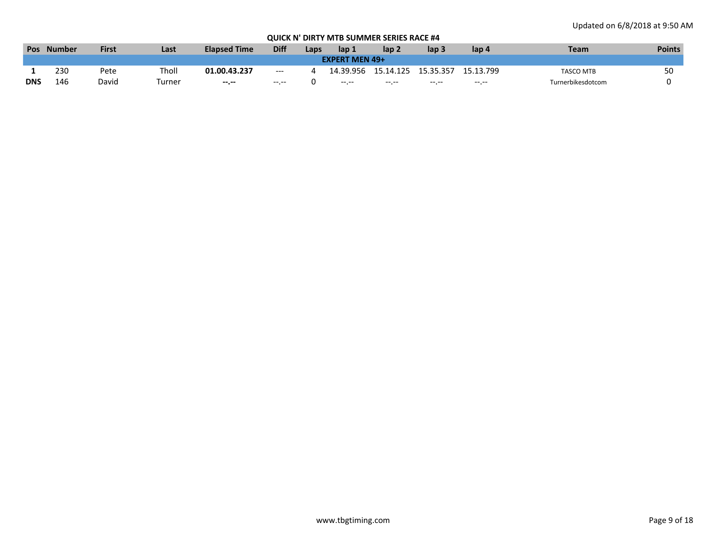| Pos        | <b>Number</b> | <b>First</b> | Last   | <b>Elapsed Time</b> | <b>Diff</b>                                   | Laps | $\Box$ lap            | <b>lap</b> ∠ | lap 3       | lap 4     | <b>Team</b>       | <b>Points</b> |
|------------|---------------|--------------|--------|---------------------|-----------------------------------------------|------|-----------------------|--------------|-------------|-----------|-------------------|---------------|
|            |               |              |        |                     |                                               |      | <b>EXPERT MEN 49+</b> |              |             |           |                   |               |
|            | 230           | Pete         | Tholl  | 01.00.43.237        | $---$                                         |      | 14.39.956             | 15.14.125    | 15.35.357   | 15.13.799 | TASCO MTB         | 50            |
| <b>DNS</b> | 146           | David        | Turner | $- - - -$           | $\hspace{1.5cm} \cdots \hspace{1.5cm} \cdots$ |      | $-1 - 1 - 1 = 0$      | $- - - - -$  | $- - - - -$ | $---$     | Turnerbikesdotcom |               |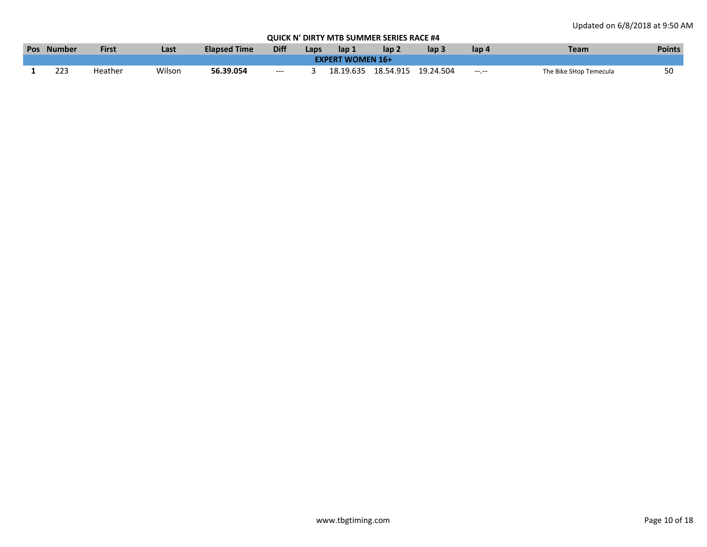| <b>Pos</b>              | <b>Number</b> | <b>First</b> | Last   | <b>Elapsed Time</b> | <b>Diff</b> | Laps | lap 1     | lap <sub>2</sub> | <b>lap</b> 5 | lap 4        | Team                   | <b>Points</b> |
|-------------------------|---------------|--------------|--------|---------------------|-------------|------|-----------|------------------|--------------|--------------|------------------------|---------------|
| <b>EXPERT WOMEN 16+</b> |               |              |        |                     |             |      |           |                  |              |              |                        |               |
|                         | 223           | Heather      | Wilson | 56.39.054           | $---$       |      | 18.19.635 | 18.54.915        | 19.24.504    | $-1.1 - 1.0$ | The Bike SHop Temecula | 50            |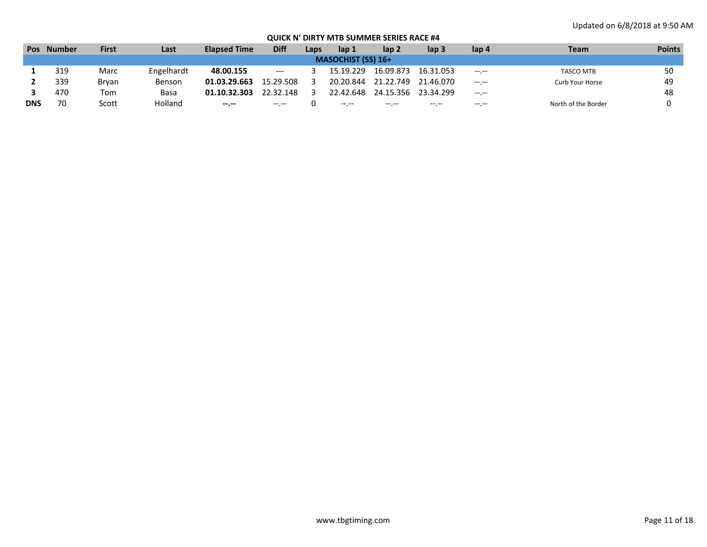| <b>Pos</b> | Number | <b>First</b> | Last       | <b>Elapsed Time</b> | <b>Diff</b>                                   | Laps | lap 1                     | lap 2     | lap 3     | lap 4        | Team                | <b>Points</b> |
|------------|--------|--------------|------------|---------------------|-----------------------------------------------|------|---------------------------|-----------|-----------|--------------|---------------------|---------------|
|            |        |              |            |                     |                                               |      | <b>MASOCHIST (SS) 16+</b> |           |           |              |                     |               |
|            | 319    | Marc         | Engelhardt | 48.00.155           | $--$                                          |      | 15.19.229                 | 16.09.873 | 16.31.053 | $- - - - -$  | TASCO MTB           | 50            |
|            | 339    | Bryan        | Benson     | 01.03.29.663        | 15.29.508                                     |      | 20.20.844                 | 21.22.749 | 21.46.070 | $-1 - 1 - 1$ | Curb Your Horse     | 49            |
|            | 470    | Tom          | Basa       | 01.10.32.303        | 22.32.148                                     |      | 22.42.648                 | 24.15.356 | 23.34.299 | $-1 - 1 - 1$ |                     | 48            |
| <b>DNS</b> | 70     | Scott        | Holland    | --.--               | $\hspace{1.5cm} \cdots \hspace{1.5cm} \cdots$ |      | $---$                     | $---$     | $---$     |              | North of the Border |               |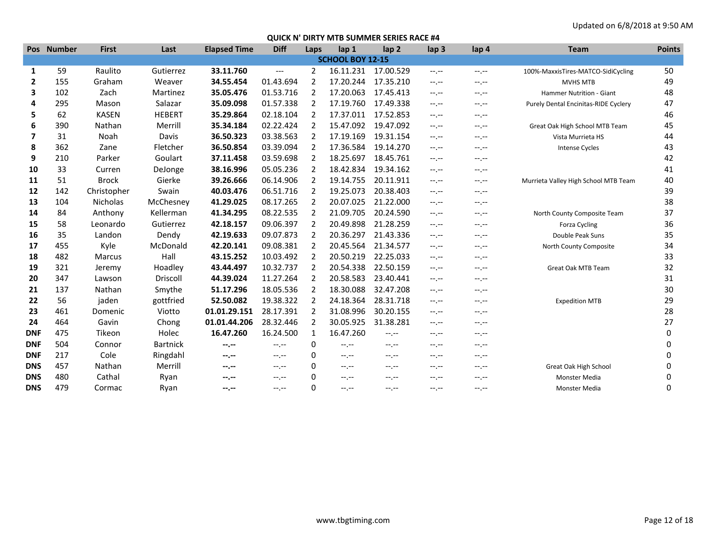|                | Pos Number | <b>First</b>  | Last            | <b>Elapsed Time</b> | <b>Diff</b>       | Laps           | lap 1                   | lap <sub>2</sub> | lap <sub>3</sub> | lap 4            | <b>Team</b>                          | <b>Points</b> |
|----------------|------------|---------------|-----------------|---------------------|-------------------|----------------|-------------------------|------------------|------------------|------------------|--------------------------------------|---------------|
|                |            |               |                 |                     |                   |                | <b>SCHOOL BOY 12-15</b> |                  |                  |                  |                                      |               |
| 1              | 59         | Raulito       | Gutierrez       | 33.11.760           | $\qquad \qquad -$ | 2              | 16.11.231               | 17.00.529        | $-1, -1$         | $-1 - 1 - 1 = 0$ | 100%-MaxxisTires-MATCO-SidiCycling   | 50            |
| $\overline{2}$ | 155        | Graham        | Weaver          | 34.55.454           | 01.43.694         | 2              | 17.20.244               | 17.35.210        | $-1$ , $-1$      | $-1.1$           | <b>MVHS MTB</b>                      | 49            |
| 3              | 102        | Zach          | Martinez        | 35.05.476           | 01.53.716         | 2              | 17.20.063               | 17.45.413        | $-1$ , $-1$      | $-1.1 -$         | Hammer Nutrition - Giant             | 48            |
| 4              | 295        | Mason         | Salazar         | 35.09.098           | 01.57.338         | 2              | 17.19.760               | 17.49.338        | $-1$ , $-1$      | $-1, -1$         | Purely Dental Encinitas-RIDE Cyclery | 47            |
| 5              | 62         | <b>KASEN</b>  | <b>HEBERT</b>   | 35.29.864           | 02.18.104         | 2              | 17.37.011               | 17.52.853        | $-1$ , $-1$      | $-1.1$           |                                      | 46            |
| 6              | 390        | Nathan        | Merrill         | 35.34.184           | 02.22.424         | 2              | 15.47.092               | 19.47.092        | $-1$ , $-1$      | $-1.1 -$         | Great Oak High School MTB Team       | 45            |
| 7              | 31         | Noah          | Davis           | 36.50.323           | 03.38.563         | $\overline{2}$ | 17.19.169               | 19.31.154        | $-1. - -$        | $-1.1$           | Vista Murrieta HS                    | 44            |
| 8              | 362        | Zane          | Fletcher        | 36.50.854           | 03.39.094         | 2              | 17.36.584               | 19.14.270        | $-1$ , $-1$      | $-1, -1$         | <b>Intense Cycles</b>                | 43            |
| 9              | 210        | Parker        | Goulart         | 37.11.458           | 03.59.698         | 2              | 18.25.697               | 18.45.761        | $-1$ , $-1$      | $-1.1$           |                                      | 42            |
| 10             | 33         | Curren        | DeJonge         | 38.16.996           | 05.05.236         | $\mathcal{P}$  | 18.42.834               | 19.34.162        | $-1$ , $-1$      | $-1 - 1 - 1 = 0$ |                                      | 41            |
| 11             | 51         | <b>Brock</b>  | Gierke          | 39.26.666           | 06.14.906         | 2              | 19.14.755               | 20.11.911        | $-1$ , $-1$      | $-1.1$           | Murrieta Valley High School MTB Team | 40            |
| 12             | 142        | Christopher   | Swain           | 40.03.476           | 06.51.716         | 2              | 19.25.073               | 20.38.403        | $--, --$         | $-1.1$           |                                      | 39            |
| 13             | 104        | Nicholas      | McChesney       | 41.29.025           | 08.17.265         | $\overline{2}$ | 20.07.025               | 21.22.000        | $-1 - 1 - 1 = 0$ | $-1 - 1 - 1 = 0$ |                                      | 38            |
| 14             | 84         | Anthony       | Kellerman       | 41.34.295           | 08.22.535         | 2              | 21.09.705               | 20.24.590        | $-1$ , $-1$      | $-1.1$           | North County Composite Team          | 37            |
| 15             | 58         | Leonardo      | Gutierrez       | 42.18.157           | 09.06.397         | 2              | 20.49.898               | 21.28.259        | $--, --$         | $-1.1$           | Forza Cycling                        | 36            |
| 16             | 35         | Landon        | Dendy           | 42.19.633           | 09.07.873         | 2              | 20.36.297               | 21.43.336        | $-1$ , $-1$      | $-1.1$           | Double Peak Suns                     | 35            |
| 17             | 455        | Kyle          | McDonald        | 42.20.141           | 09.08.381         | $\overline{2}$ | 20.45.564               | 21.34.577        | $-1$ , $-1$      | $-1$ .           | North County Composite               | 34            |
| 18             | 482        | <b>Marcus</b> | Hall            | 43.15.252           | 10.03.492         | 2              | 20.50.219               | 22.25.033        | $-1, -1$         | $-1.1$           |                                      | 33            |
| 19             | 321        | Jeremy        | Hoadley         | 43.44.497           | 10.32.737         | 2              | 20.54.338               | 22.50.159        | $-1$ , $-1$      | $-1 - 1 - 1 = 0$ | Great Oak MTB Team                   | 32            |
| 20             | 347        | Lawson        | Driscoll        | 44.39.024           | 11.27.264         | 2              | 20.58.583               | 23.40.441        | $-1, -1$         | $-1.1$           |                                      | 31            |
| 21             | 137        | Nathan        | Smythe          | 51.17.296           | 18.05.536         | 2              | 18.30.088               | 32.47.208        | $-1$ , $-1$      | $-1.1$           |                                      | 30            |
| 22             | 56         | jaden         | gottfried       | 52.50.082           | 19.38.322         | 2              | 24.18.364               | 28.31.718        | $-1$ , $-1$      | $-1.1$           | <b>Expedition MTB</b>                | 29            |
| 23             | 461        | Domenic       | Viotto          | 01.01.29.151        | 28.17.391         | 2              | 31.08.996               | 30.20.155        | $-1$ , $-1$      | $-1$ , $-1$      |                                      | 28            |
| 24             | 464        | Gavin         | Chong           | 01.01.44.206        | 28.32.446         | 2              | 30.05.925               | 31.38.281        | $-1$ , $-1$      | $-1.1$           |                                      | 27            |
| <b>DNF</b>     | 475        | Tikeon        | Holec           | 16.47.260           | 16.24.500         | 1              | 16.47.260               | $-1$ , $-1$      | $-1$ , $-1$      | $-1$ .           |                                      | 0             |
| <b>DNF</b>     | 504        | Connor        | <b>Bartnick</b> | $- - - -$           | $-1. - -$         | 0              | $-1. - -$               | $-1. - -$        | $- - - - -$      | $-1, -1$         |                                      | 0             |
| <b>DNF</b>     | 217        | Cole          | Ringdahl        | $-1$ .              | $-1, -1$          | 0              | $-1$ , $-1$             | $-1. - -$        | $-1 - 1 - 1 = 0$ | $-1.1$           |                                      | 0             |
| <b>DNS</b>     | 457        | Nathan        | Merrill         | --.--               | $-1$ , $-1$       | 0              | $-1, -1$                | $-1. - -$        | $-1. - -$        | $-1.1 -$         | Great Oak High School                | 0             |
| <b>DNS</b>     | 480        | Cathal        | Ryan            | --.--               | $-1$ .            | $\Omega$       | $-1$                    | $-1$ , $-1$      | $-1$ .           | --.--            | Monster Media                        | 0             |
| <b>DNS</b>     | 479        | Cormac        | Ryan            | $- - - -$           | $-1. - -$         | 0              | $-1$                    | $-1$ , $-1$      | $-1$ .           | $-1. - -$        | Monster Media                        | 0             |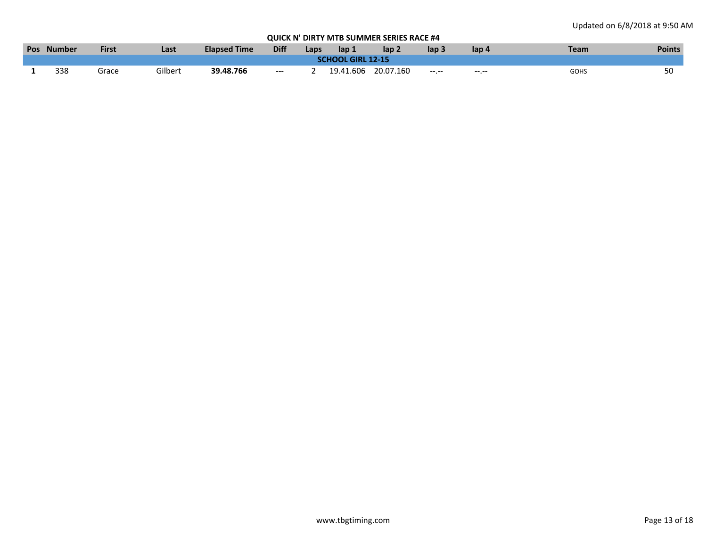| <b>Pos Number</b>        | <b>First</b> | Last    | <b>Elapsed Time</b> | <b>Diff</b> | Laps | Nap ⊥               | lap 2 | lap 3    | lap 4       | Team | <b>Points</b> |
|--------------------------|--------------|---------|---------------------|-------------|------|---------------------|-------|----------|-------------|------|---------------|
| <b>SCHOOL GIRL 12-15</b> |              |         |                     |             |      |                     |       |          |             |      |               |
| 338                      | Grace        | Gilbert | 39.48.766           | $---$       |      | 19.41.606 20.07.160 |       | $-1. -1$ | $--- - - -$ | GOH: | 50            |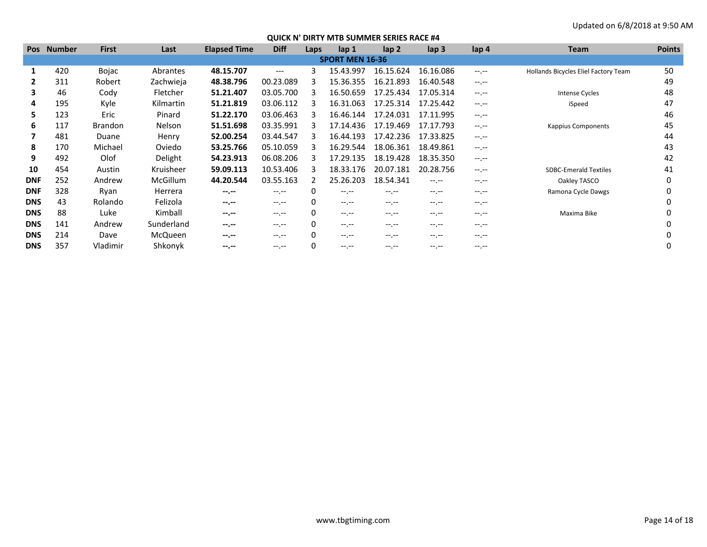| <b>Pos</b>             | <b>Number</b> | <b>First</b>   | Last            | <b>Elapsed Time</b> | <b>Diff</b>       | Laps | lap 1       | $\mathsf{lap} 2$ | lap <sub>3</sub> | lap 4       | <b>Team</b>                          | <b>Points</b> |
|------------------------|---------------|----------------|-----------------|---------------------|-------------------|------|-------------|------------------|------------------|-------------|--------------------------------------|---------------|
| <b>SPORT MEN 16-36</b> |               |                |                 |                     |                   |      |             |                  |                  |             |                                      |               |
| 1                      | 420           | Bojac          | Abrantes        | 48.15.707           | $\qquad \qquad -$ |      | 15.43.997   | 16.15.624        | 16.16.086        | $-1$ , $-1$ | Hollands Bicycles Eliel Factory Team | 50            |
|                        | 311           | Robert         | Zachwieja       | 48.38.796           | 00.23.089         |      | 15.36.355   | 16.21.893        | 16.40.548        | $-1$ , $-1$ |                                      | 49            |
| 3                      | 46            | Cody           | Fletcher        | 51.21.407           | 03.05.700         |      | 16.50.659   | 17.25.434        | 17.05.314        | $-1$ , $-1$ | <b>Intense Cycles</b>                | 48            |
| 4                      | 195           | Kyle           | Kilmartin       | 51.21.819           | 03.06.112         |      | 16.31.063   | 17.25.314        | 17.25.442        | $-1$ , $-1$ | iSpeed                               | 47            |
| 5.                     | 123           | Eric           | Pinard          | 51.22.170           | 03.06.463         |      | 16.46.144   | 17.24.031        | 17.11.995        | $-1$ , $-1$ |                                      | 46            |
| 6                      | 117           | <b>Brandon</b> | Nelson          | 51.51.698           | 03.35.991         |      | 17.14.436   | 17.19.469        | 17.17.793        | $-1.1 -$    | <b>Kappius Components</b>            | 45            |
|                        | 481           | Duane          | Henry           | 52.00.254           | 03.44.547         |      | 16.44.193   | 17.42.236        | 17.33.825        | $-1$ , $-1$ |                                      | 44            |
| 8                      | 170           | Michael        | Oviedo          | 53.25.766           | 05.10.059         |      | 16.29.544   | 18.06.361        | 18.49.861        | $-1$ , $-1$ |                                      | 43            |
| 9                      | 492           | Olof           | Delight         | 54.23.913           | 06.08.206         |      | 17.29.135   | 18.19.428        | 18.35.350        | $-1$ , $-1$ |                                      | 42            |
| 10                     | 454           | Austin         | Kruisheer       | 59.09.113           | 10.53.406         |      | 18.33.176   | 20.07.181        | 20.28.756        | $-1$ , $-1$ | <b>SDBC-Emerald Textiles</b>         | 41            |
| <b>DNF</b>             | 252           | Andrew         | <b>McGillum</b> | 44.20.544           | 03.55.163         |      | 25.26.203   | 18.54.341        | $-1$ , $-1$      | $-1.1$      | Oakley TASCO                         | 0             |
| <b>DNF</b>             | 328           | Ryan           | Herrera         | $- - - - -$         | $-1$ , $-1$       |      | $-1$ , $-1$ | $-1 - 1 - 1 = 0$ | $-1$ , $-1$      | $-1.1 -$    | Ramona Cycle Dawgs                   |               |
| <b>DNS</b>             | 43            | Rolando        | Felizola        | $-1$ .              | $-1$ , $-1$       |      | $-1$ , $-1$ | $-1. - -$        | $-1. - -$        | $-1.1 -$    |                                      |               |
| <b>DNS</b>             | 88            | Luke           | Kimball         | $- - - - -$         | $-1 - 1 - 1 = 0$  | 0    | $-1$ , $-1$ | $-1$ , $-1$      | $-1$ , $-1$      | $-1$ , $-1$ | Maxima Bike                          |               |
| <b>DNS</b>             | 141           | Andrew         | Sunderland      | $-1$ .              | $-1 - 1 - 1 = 0$  | 0    | $-1$ , $-1$ | $-1$ , $-1$      | $-1$ , $-1$      | $-1$ , $-1$ |                                      |               |
| <b>DNS</b>             | 214           | Dave           | McQueen         | $-1$ .              |                   | 0    | $-1$ , $-1$ | $-1 - 1 - 1 = 0$ | $-1$ , $-1$      | $-1$ , $-1$ |                                      |               |
| <b>DNS</b>             | 357           | Vladimir       | Shkonyk         | $- - - - -$         |                   |      | $-1.1$      | $-1$ .           | $-1. -1$         |             |                                      |               |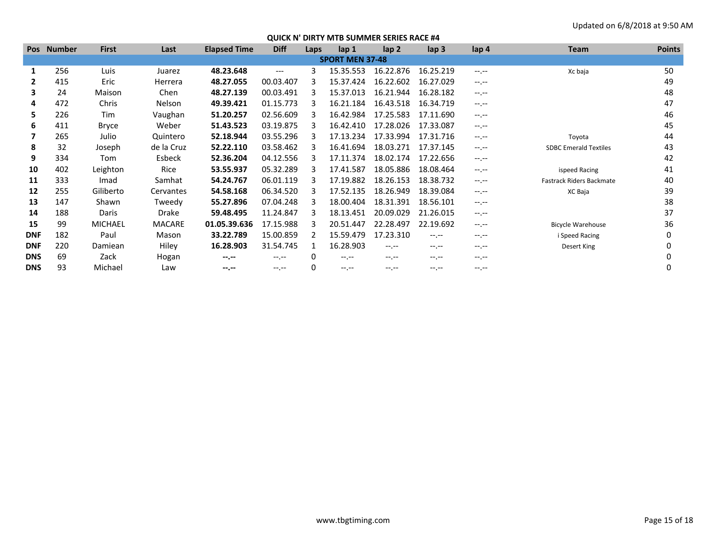|            | Pos Number | <b>First</b>   | Last       | <b>Elapsed Time</b> | <b>Diff</b>         | Laps | lap <sub>1</sub>       | $\mathsf{lap} 2$ | lap <sub>3</sub> | lap 4            | <b>Team</b>                     | <b>Points</b> |
|------------|------------|----------------|------------|---------------------|---------------------|------|------------------------|------------------|------------------|------------------|---------------------------------|---------------|
|            |            |                |            |                     |                     |      | <b>SPORT MEN 37-48</b> |                  |                  |                  |                                 |               |
|            | 256        | Luis           | Juarez     | 48.23.648           | $\qquad \qquad - -$ |      | 15.35.553              | 16.22.876        | 16.25.219        | $-1 - 1 - 1 = 0$ | Xc baja                         | 50            |
| 2          | 415        | Eric           | Herrera    | 48.27.055           | 00.03.407           |      | 15.37.424              | 16.22.602        | 16.27.029        | $-1 - 1 - 1 = 0$ |                                 | 49            |
| 3          | 24         | Maison         | Chen       | 48.27.139           | 00.03.491           |      | 15.37.013              | 16.21.944        | 16.28.182        | $-1. - -$        |                                 | 48            |
| 4          | 472        | Chris          | Nelson     | 49.39.421           | 01.15.773           |      | 16.21.184              | 16.43.518        | 16.34.719        | $-1 - 1 - 1 = 0$ |                                 | 47            |
| 5          | 226        | Tim            | Vaughan    | 51.20.257           | 02.56.609           |      | 16.42.984              | 17.25.583        | 17.11.690        | $-1 - 1 - 1 = 0$ |                                 | 46            |
| 6          | 411        | <b>Bryce</b>   | Weber      | 51.43.523           | 03.19.875           |      | 16.42.410              | 17.28.026        | 17.33.087        | $-1 - 1 - 1 = 0$ |                                 | 45            |
|            | 265        | Julio          | Quintero   | 52.18.944           | 03.55.296           |      | 17.13.234              | 17.33.994        | 17.31.716        | $-1 - 1 - 1 = 0$ | Toyota                          | 44            |
| 8          | 32         | Joseph         | de la Cruz | 52.22.110           | 03.58.462           |      | 16.41.694              | 18.03.271        | 17.37.145        | $-1. - -$        | <b>SDBC Emerald Textiles</b>    | 43            |
| 9          | 334        | Tom            | Esbeck     | 52.36.204           | 04.12.556           |      | 17.11.374              | 18.02.174        | 17.22.656        | $-1 - 1 - 1 = 0$ |                                 | 42            |
| 10         | 402        | Leighton       | Rice       | 53.55.937           | 05.32.289           |      | 17.41.587              | 18.05.886        | 18.08.464        | $-1 - 1 - 1 = 0$ | ispeed Racing                   | 41            |
| 11         | 333        | Imad           | Samhat     | 54.24.767           | 06.01.119           |      | 17.19.882              | 18.26.153        | 18.38.732        | $-1 - 1 - 1 = 0$ | <b>Fastrack Riders Backmate</b> | 40            |
| 12         | 255        | Giliberto      | Cervantes  | 54.58.168           | 06.34.520           |      | 17.52.135              | 18.26.949        | 18.39.084        | $-1. - -$        | XC Baja                         | 39            |
| 13         | 147        | Shawn          | Tweedy     | 55.27.896           | 07.04.248           |      | 18.00.404              | 18.31.391        | 18.56.101        | $-1. - -$        |                                 | 38            |
| 14         | 188        | Daris          | Drake      | 59.48.495           | 11.24.847           |      | 18.13.451              | 20.09.029        | 21.26.015        | $-1.1 -$         |                                 | 37            |
| 15         | 99         | <b>MICHAEL</b> | MACARE     | 01.05.39.636        | 17.15.988           |      | 20.51.447              | 22.28.497        | 22.19.692        | $-1 - 1 - 1 = 0$ | <b>Bicycle Warehouse</b>        | 36            |
| <b>DNF</b> | 182        | Paul           | Mason      | 33.22.789           | 15.00.859           |      | 15.59.479              | 17.23.310        | $-1 - 1 - 1 = 0$ | $- - - - -$      | i Speed Racing                  | 0             |
| <b>DNF</b> | 220        | Damiean        | Hiley      | 16.28.903           | 31.54.745           |      | 16.28.903              | $-1$ , $-1$      | $-1 - 1 - 1 = 0$ | $-1 - 1 - 1 = 0$ | Desert King                     |               |
| <b>DNS</b> | 69         | Zack           | Hogan      | $- - - - -$         | $-1$ , $-1$         |      | $-1 - 1 - 1 = 0$       | $-1 - 1 - 1 = 0$ | $-1$ , $-1$      | $-1 - 1 - 1 = 0$ |                                 |               |
| <b>DNS</b> | 93         | Michael        | Law        | $- - - - -$         | $-1$ , $-1$         |      | $-1.1$                 | $-1$ , $-1$      | $-1. -1$         | $-1 - 1 - 1 = 0$ |                                 |               |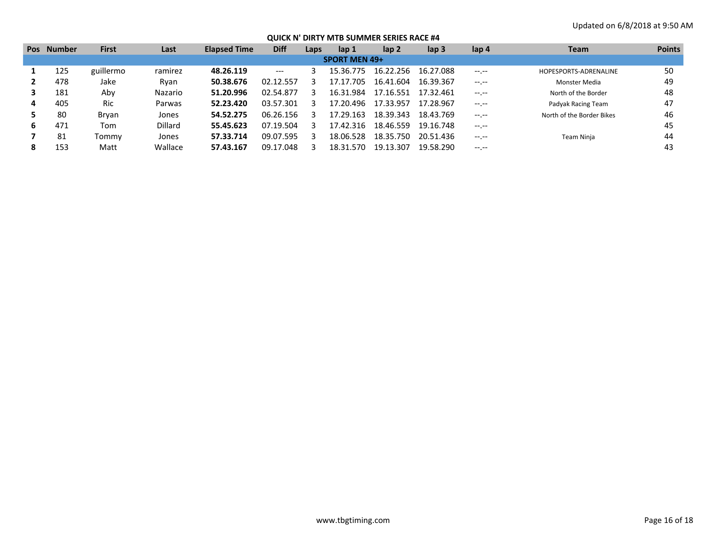| <b>Pos</b>           | <b>Number</b> | <b>First</b> | Last    | <b>Elapsed Time</b> | <b>Diff</b> | Laps | lap 1     | $\mathsf{lap} 2$ | lap 3     | lap 4            | <b>Team</b>               | <b>Points</b> |
|----------------------|---------------|--------------|---------|---------------------|-------------|------|-----------|------------------|-----------|------------------|---------------------------|---------------|
| <b>SPORT MEN 49+</b> |               |              |         |                     |             |      |           |                  |           |                  |                           |               |
|                      | 125           | guillermo    | ramirez | 48.26.119           | $---$       |      | 15.36.775 | 16.22.256        | 16.27.088 | $-1$ .           | HOPESPORTS-ADRENALINE     | 50            |
|                      | 478           | Jake         | Ryan    | 50.38.676           | 02.12.557   |      | 17.17.705 | 16.41.604        | 16.39.367 | $-1. -1$         | Monster Media             | 49            |
|                      | 181           | Aby          | Nazario | 51.20.996           | 02.54.877   |      | 16.31.984 | 17.16.551        | 17.32.461 | $-1 - 1 - 1 = 0$ | North of the Border       | 48            |
|                      | 405           | Ric          | Parwas  | 52.23.420           | 03.57.301   |      | 17.20.496 | 17.33.957        | 17.28.967 | $-1 - 1 - 1 = 0$ | Padyak Racing Team        | 47            |
|                      | 80            | Bryan        | Jones   | 54.52.275           | 06.26.156   |      | 17.29.163 | 18.39.343        | 18.43.769 | $-1 - 1 - 1 = 0$ | North of the Border Bikes | 46            |
| 6.                   | 471           | Tom          | Dillard | 55.45.623           | 07.19.504   |      | 17.42.316 | 18.46.559        | 19.16.748 | $-1 - 1 - 1 = 0$ |                           | 45            |
|                      | 81            | Tommv        | Jones   | 57.33.714           | 09.07.595   |      | 18.06.528 | 18.35.750        | 20.51.436 | $-1$ , $-1$      | Team Ninja                | 44            |
| δ                    | 153           | Matt         | Wallace | 57.43.167           | 09.17.048   |      | 18.31.570 | 19.13.307        | 19.58.290 | $-1$ , $-1$      |                           | 43            |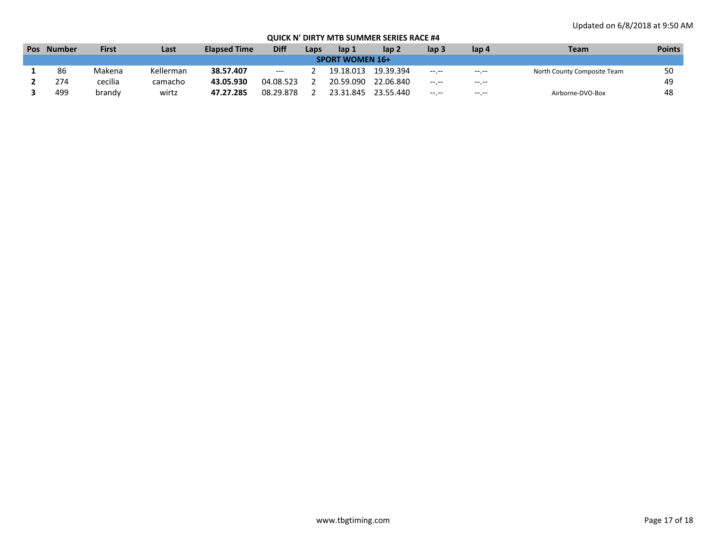| <b>Pos</b>             | <b>Number</b> | <b>First</b> | Last             | <b>Elapsed Time</b> | <b>Diff</b>                              | Laps | lap 1     | lap 2     | lap 3            | lap 4            | Team                        | <b>Points</b> |
|------------------------|---------------|--------------|------------------|---------------------|------------------------------------------|------|-----------|-----------|------------------|------------------|-----------------------------|---------------|
| <b>SPORT WOMEN 16+</b> |               |              |                  |                     |                                          |      |           |           |                  |                  |                             |               |
|                        | 86            | Makena       | <b>Kellerman</b> | 38.57.407           | $\hspace{0.05cm} \ldots \hspace{0.05cm}$ |      | 19.18.013 | 19.39.394 | $-1 - 1 - 1 = 0$ | $-1 - 1 - 1 = 0$ | North County Composite Team | 50            |
|                        | 274           | cecilia      | camacho          | 43.05.930           | 04.08.523                                |      | 20.59.090 | 22.06.840 | $-1 - 1 - 1$     | $-1 - 1 - 1$     |                             | 49            |
|                        | 499           | brandy       | wirtz            | 47.27.285           | 08.29.878                                |      | 23.31.845 | 23.55.440 | $-1$ , $-1$      | $- - - - -$      | Airborne-DVO-Box            | 48            |